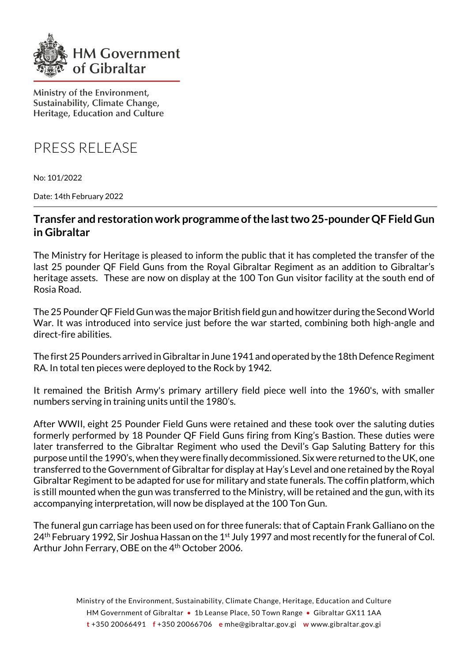

Ministry of the Environment, Sustainability, Climate Change, Heritage, Education and Culture

PRESS RELEASE

No: 101/2022

Date: 14th February 2022

## **Transfer and restorationwork programme ofthe lasttwo 25-pounderQF Field Gun in Gibraltar**

The Ministry for Heritage is pleased to inform the public that it has completed the transfer of the last 25 pounder QF Field Guns from the Royal Gibraltar Regiment as an addition to Gibraltar's heritage assets. These are now on display at the 100 Ton Gun visitor facility at the south end of Rosia Road.

The 25 Pounder QF Field Gun was the major British field gun and howitzer during the Second World War. It was introduced into service just before the war started, combining both high-angle and direct-fire abilities.

The first 25 Pounders arrived in Gibraltar in June 1941 and operated by the 18th Defence Regiment RA. In total ten pieces were deployed to the Rock by 1942.

It remained the British Army's primary artillery field piece well into the 1960's, with smaller numbers serving in training units until the 1980's.

After WWII, eight 25 Pounder Field Guns were retained and these took over the saluting duties formerly performed by 18 Pounder QF Field Guns firing from King's Bastion. These duties were later transferred to the Gibraltar Regiment who used the Devil's Gap Saluting Battery for this purpose until the 1990's, when they were finally decommissioned. Six were returned to the UK, one transferred to the Government of Gibraltar for display at Hay's Level and one retained by the Royal Gibraltar Regiment to be adapted for use for military and state funerals. The coffin platform, which is still mounted when the gun was transferred to the Ministry, will be retained and the gun, with its accompanying interpretation, will now be displayed at the 100 Ton Gun.

The funeral gun carriage has been used on for three funerals: that of Captain Frank Galliano on the  $24<sup>th</sup>$  February 1992, Sir Joshua Hassan on the 1st July 1997 and most recently for the funeral of Col. Arthur John Ferrary, OBE on the 4<sup>th</sup> October 2006.